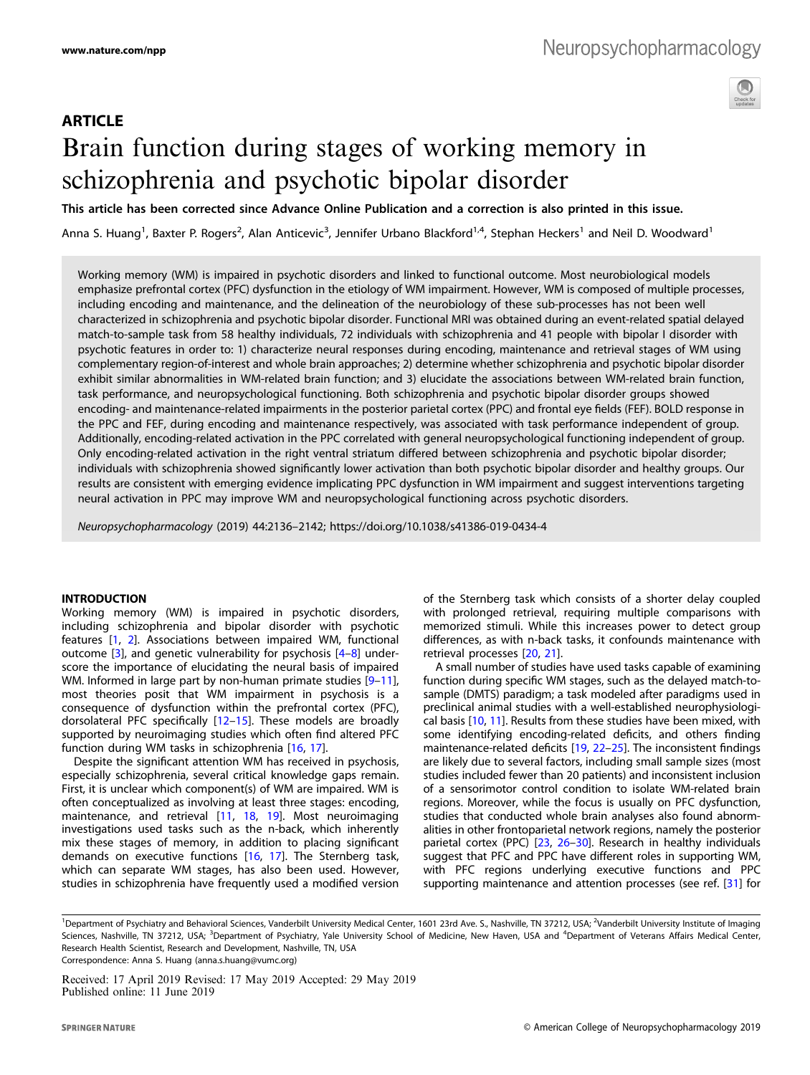# **ARTICLE** Brain function during stages of working memory in schizophrenia and psychotic bipolar disorder

This article has been corrected since Advance Online Publication and a correction is also printed in this issue.

Anna S. Huang<sup>1</sup>, Baxter P. Rogers<sup>2</sup>, Alan Anticevic<sup>3</sup>, Jennifer Urbano Blackford<sup>1,4</sup>, Stephan Heckers<sup>1</sup> and Neil D. Woodward<sup>1</sup>

Working memory (WM) is impaired in psychotic disorders and linked to functional outcome. Most neurobiological models emphasize prefrontal cortex (PFC) dysfunction in the etiology of WM impairment. However, WM is composed of multiple processes, including encoding and maintenance, and the delineation of the neurobiology of these sub-processes has not been well characterized in schizophrenia and psychotic bipolar disorder. Functional MRI was obtained during an event-related spatial delayed match-to-sample task from 58 healthy individuals, 72 individuals with schizophrenia and 41 people with bipolar I disorder with psychotic features in order to: 1) characterize neural responses during encoding, maintenance and retrieval stages of WM using complementary region-of-interest and whole brain approaches; 2) determine whether schizophrenia and psychotic bipolar disorder exhibit similar abnormalities in WM-related brain function; and 3) elucidate the associations between WM-related brain function, task performance, and neuropsychological functioning. Both schizophrenia and psychotic bipolar disorder groups showed encoding- and maintenance-related impairments in the posterior parietal cortex (PPC) and frontal eye fields (FEF). BOLD response in the PPC and FEF, during encoding and maintenance respectively, was associated with task performance independent of group. Additionally, encoding-related activation in the PPC correlated with general neuropsychological functioning independent of group. Only encoding-related activation in the right ventral striatum differed between schizophrenia and psychotic bipolar disorder; individuals with schizophrenia showed significantly lower activation than both psychotic bipolar disorder and healthy groups. Our results are consistent with emerging evidence implicating PPC dysfunction in WM impairment and suggest interventions targeting neural activation in PPC may improve WM and neuropsychological functioning across psychotic disorders.

Neuropsychopharmacology (2019) 44:2136–2142; https://doi.org/10.1038/s41386-019-0434-4

# INTRODUCTION

Working memory (WM) is impaired in psychotic disorders, including schizophrenia and bipolar disorder with psychotic features [[1](#page-6-0), [2\]](#page-6-0). Associations between impaired WM, functional outcome [\[3](#page-6-0)], and genetic vulnerability for psychosis [\[4](#page-6-0)–[8\]](#page-6-0) underscore the importance of elucidating the neural basis of impaired WM. Informed in large part by non-human primate studies [[9](#page-6-0)–[11](#page-6-0)], most theories posit that WM impairment in psychosis is a consequence of dysfunction within the prefrontal cortex (PFC), dorsolateral PFC specifically [[12](#page-6-0)–[15](#page-6-0)]. These models are broadly supported by neuroimaging studies which often find altered PFC function during WM tasks in schizophrenia [[16](#page-6-0), [17\]](#page-6-0).

Despite the significant attention WM has received in psychosis, especially schizophrenia, several critical knowledge gaps remain. First, it is unclear which component(s) of WM are impaired. WM is often conceptualized as involving at least three stages: encoding, maintenance, and retrieval [[11,](#page-6-0) [18](#page-6-0), [19](#page-6-0)]. Most neuroimaging investigations used tasks such as the n-back, which inherently mix these stages of memory, in addition to placing significant demands on executive functions [\[16](#page-6-0), [17](#page-6-0)]. The Sternberg task, which can separate WM stages, has also been used. However, studies in schizophrenia have frequently used a modified version

of the Sternberg task which consists of a shorter delay coupled with prolonged retrieval, requiring multiple comparisons with memorized stimuli. While this increases power to detect group differences, as with n-back tasks, it confounds maintenance with retrieval processes [[20,](#page-6-0) [21\]](#page-6-0).

A small number of studies have used tasks capable of examining function during specific WM stages, such as the delayed match-tosample (DMTS) paradigm; a task modeled after paradigms used in preclinical animal studies with a well-established neurophysiological basis [\[10](#page-6-0), [11](#page-6-0)]. Results from these studies have been mixed, with some identifying encoding-related deficits, and others finding maintenance-related deficits [[19,](#page-6-0) [22](#page-6-0)–[25\]](#page-6-0). The inconsistent findings are likely due to several factors, including small sample sizes (most studies included fewer than 20 patients) and inconsistent inclusion of a sensorimotor control condition to isolate WM-related brain regions. Moreover, while the focus is usually on PFC dysfunction, studies that conducted whole brain analyses also found abnormalities in other frontoparietal network regions, namely the posterior parietal cortex (PPC) [\[23](#page-6-0), [26](#page-6-0)–[30\]](#page-6-0). Research in healthy individuals suggest that PFC and PPC have different roles in supporting WM, with PFC regions underlying executive functions and PPC supporting maintenance and attention processes (see ref. [[31\]](#page-6-0) for

Received: 17 April 2019 Revised: 17 May 2019 Accepted: 29 May 2019 Published online: 11 June 2019

<sup>&</sup>lt;sup>1</sup>Department of Psychiatry and Behavioral Sciences, Vanderbilt University Medical Center, 1601 23rd Ave. S., Nashville, TN 37212, USA; <sup>2</sup>Vanderbilt University Institute of Imaging Sciences, Nashville, TN 37212, USA; <sup>3</sup>Department of Psychiatry, Yale University School of Medicine, New Haven, USA and <sup>4</sup>Department of Veterans Affairs Medical Center, Research Health Scientist, Research and Development, Nashville, TN, USA Correspondence: Anna S. Huang [\(anna.s.huang@vumc.org\)](mailto:anna.s.huang@vumc.org)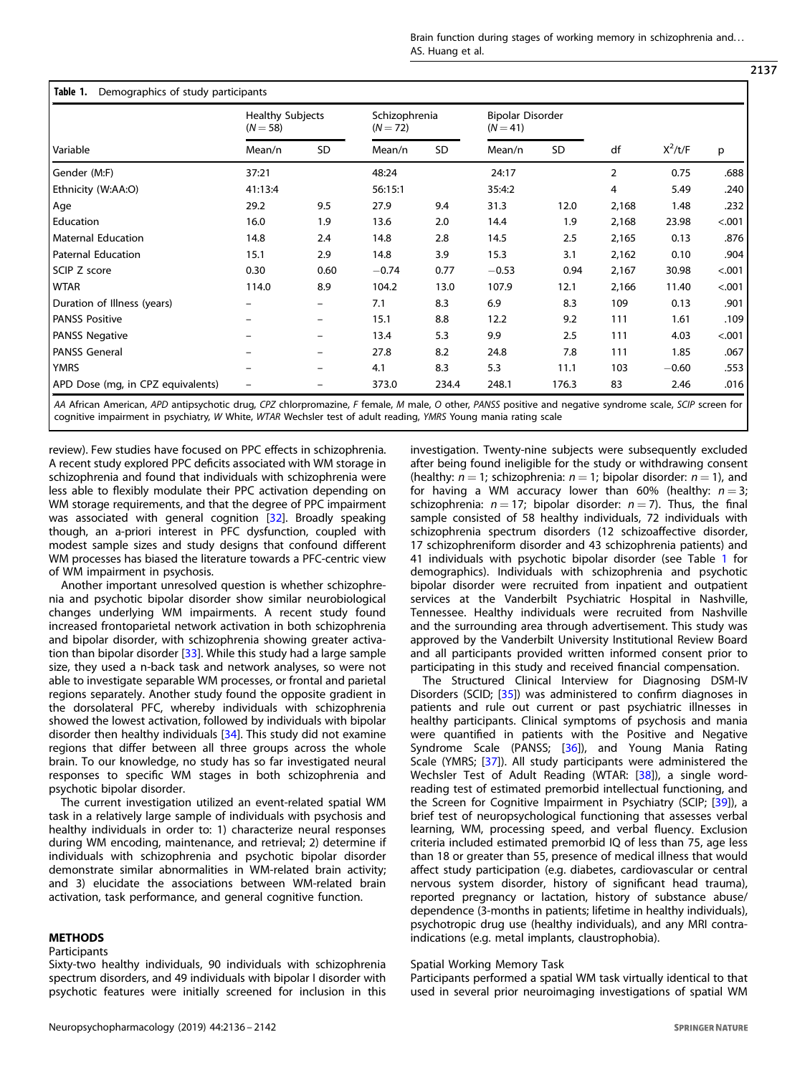2137

| Table 1.<br>Demographics of study participants |                                       |      |                             |       |                                       |       |                |           |        |
|------------------------------------------------|---------------------------------------|------|-----------------------------|-------|---------------------------------------|-------|----------------|-----------|--------|
|                                                | <b>Healthy Subjects</b><br>$(N = 58)$ |      | Schizophrenia<br>$(N = 72)$ |       | <b>Bipolar Disorder</b><br>$(N = 41)$ |       |                |           |        |
| Variable                                       | Mean/n                                | SD   | Mean/n                      | SD    | Mean/n                                | SD    | df             | $X^2/t/F$ | p      |
| Gender (M:F)                                   | 37:21                                 |      | 48:24                       |       | 24:17                                 |       | $\overline{2}$ | 0.75      | .688   |
| Ethnicity (W:AA:O)                             | 41:13:4                               |      | 56:15:1                     |       | 35:4:2                                |       | 4              | 5.49      | .240   |
| Age                                            | 29.2                                  | 9.5  | 27.9                        | 9.4   | 31.3                                  | 12.0  | 2,168          | 1.48      | .232   |
| Education                                      | 16.0                                  | 1.9  | 13.6                        | 2.0   | 14.4                                  | 1.9   | 2,168          | 23.98     | < .001 |
| <b>Maternal Education</b>                      | 14.8                                  | 2.4  | 14.8                        | 2.8   | 14.5                                  | 2.5   | 2,165          | 0.13      | .876   |
| <b>Paternal Education</b>                      | 15.1                                  | 2.9  | 14.8                        | 3.9   | 15.3                                  | 3.1   | 2,162          | 0.10      | .904   |
| SCIP Z score                                   | 0.30                                  | 0.60 | $-0.74$                     | 0.77  | $-0.53$                               | 0.94  | 2,167          | 30.98     | < .001 |
| <b>WTAR</b>                                    | 114.0                                 | 8.9  | 104.2                       | 13.0  | 107.9                                 | 12.1  | 2,166          | 11.40     | < .001 |
| Duration of Illness (years)                    |                                       |      | 7.1                         | 8.3   | 6.9                                   | 8.3   | 109            | 0.13      | .901   |
| <b>PANSS Positive</b>                          |                                       | -    | 15.1                        | 8.8   | 12.2                                  | 9.2   | 111            | 1.61      | .109   |
| <b>PANSS Negative</b>                          |                                       | -    | 13.4                        | 5.3   | 9.9                                   | 2.5   | 111            | 4.03      | < .001 |
| PANSS General                                  |                                       |      | 27.8                        | 8.2   | 24.8                                  | 7.8   | 111            | 1.85      | .067   |
| <b>YMRS</b>                                    |                                       |      | 4.1                         | 8.3   | 5.3                                   | 11.1  | 103            | $-0.60$   | .553   |
| APD Dose (mg, in CPZ equivalents)              |                                       |      | 373.0                       | 234.4 | 248.1                                 | 176.3 | 83             | 2.46      | .016   |

AA African American, APD antipsychotic drug, CPZ chlorpromazine, F female, M male, O other, PANSS positive and negative syndrome scale, SCIP screen for cognitive impairment in psychiatry, W White, WTAR Wechsler test of adult reading, YMRS Young mania rating scale

review). Few studies have focused on PPC effects in schizophrenia. A recent study explored PPC deficits associated with WM storage in schizophrenia and found that individuals with schizophrenia were less able to flexibly modulate their PPC activation depending on WM storage requirements, and that the degree of PPC impairment was associated with general cognition [\[32](#page-6-0)]. Broadly speaking though, an a-priori interest in PFC dysfunction, coupled with modest sample sizes and study designs that confound different WM processes has biased the literature towards a PFC-centric view of WM impairment in psychosis.

Another important unresolved question is whether schizophrenia and psychotic bipolar disorder show similar neurobiological changes underlying WM impairments. A recent study found increased frontoparietal network activation in both schizophrenia and bipolar disorder, with schizophrenia showing greater activa-tion than bipolar disorder [[33](#page-6-0)]. While this study had a large sample size, they used a n-back task and network analyses, so were not able to investigate separable WM processes, or frontal and parietal regions separately. Another study found the opposite gradient in the dorsolateral PFC, whereby individuals with schizophrenia showed the lowest activation, followed by individuals with bipolar disorder then healthy individuals [\[34](#page-6-0)]. This study did not examine regions that differ between all three groups across the whole brain. To our knowledge, no study has so far investigated neural responses to specific WM stages in both schizophrenia and psychotic bipolar disorder.

The current investigation utilized an event-related spatial WM task in a relatively large sample of individuals with psychosis and healthy individuals in order to: 1) characterize neural responses during WM encoding, maintenance, and retrieval; 2) determine if individuals with schizophrenia and psychotic bipolar disorder demonstrate similar abnormalities in WM-related brain activity; and 3) elucidate the associations between WM-related brain activation, task performance, and general cognitive function.

# METHODS

# Participants

Sixty-two healthy individuals, 90 individuals with schizophrenia spectrum disorders, and 49 individuals with bipolar I disorder with psychotic features were initially screened for inclusion in this investigation. Twenty-nine subjects were subsequently excluded after being found ineligible for the study or withdrawing consent (healthy:  $n = 1$ ; schizophrenia:  $n = 1$ ; bipolar disorder:  $n = 1$ ), and for having a WM accuracy lower than 60% (healthy:  $n = 3$ ; schizophrenia:  $n = 17$ ; bipolar disorder:  $n = 7$ ). Thus, the final sample consisted of 58 healthy individuals, 72 individuals with schizophrenia spectrum disorders (12 schizoaffective disorder, 17 schizophreniform disorder and 43 schizophrenia patients) and 41 individuals with psychotic bipolar disorder (see Table 1 for demographics). Individuals with schizophrenia and psychotic bipolar disorder were recruited from inpatient and outpatient services at the Vanderbilt Psychiatric Hospital in Nashville, Tennessee. Healthy individuals were recruited from Nashville and the surrounding area through advertisement. This study was approved by the Vanderbilt University Institutional Review Board and all participants provided written informed consent prior to participating in this study and received financial compensation.

The Structured Clinical Interview for Diagnosing DSM-IV Disorders (SCID; [[35\]](#page-6-0)) was administered to confirm diagnoses in patients and rule out current or past psychiatric illnesses in healthy participants. Clinical symptoms of psychosis and mania were quantified in patients with the Positive and Negative Syndrome Scale (PANSS; [[36\]](#page-6-0)), and Young Mania Rating Scale (YMRS; [[37\]](#page-6-0)). All study participants were administered the Wechsler Test of Adult Reading (WTAR: [[38](#page-6-0)]), a single wordreading test of estimated premorbid intellectual functioning, and the Screen for Cognitive Impairment in Psychiatry (SCIP; [\[39](#page-6-0)]), a brief test of neuropsychological functioning that assesses verbal learning, WM, processing speed, and verbal fluency. Exclusion criteria included estimated premorbid IQ of less than 75, age less than 18 or greater than 55, presence of medical illness that would affect study participation (e.g. diabetes, cardiovascular or central nervous system disorder, history of significant head trauma), reported pregnancy or lactation, history of substance abuse/ dependence (3-months in patients; lifetime in healthy individuals), psychotropic drug use (healthy individuals), and any MRI contraindications (e.g. metal implants, claustrophobia).

# Spatial Working Memory Task

Participants performed a spatial WM task virtually identical to that used in several prior neuroimaging investigations of spatial WM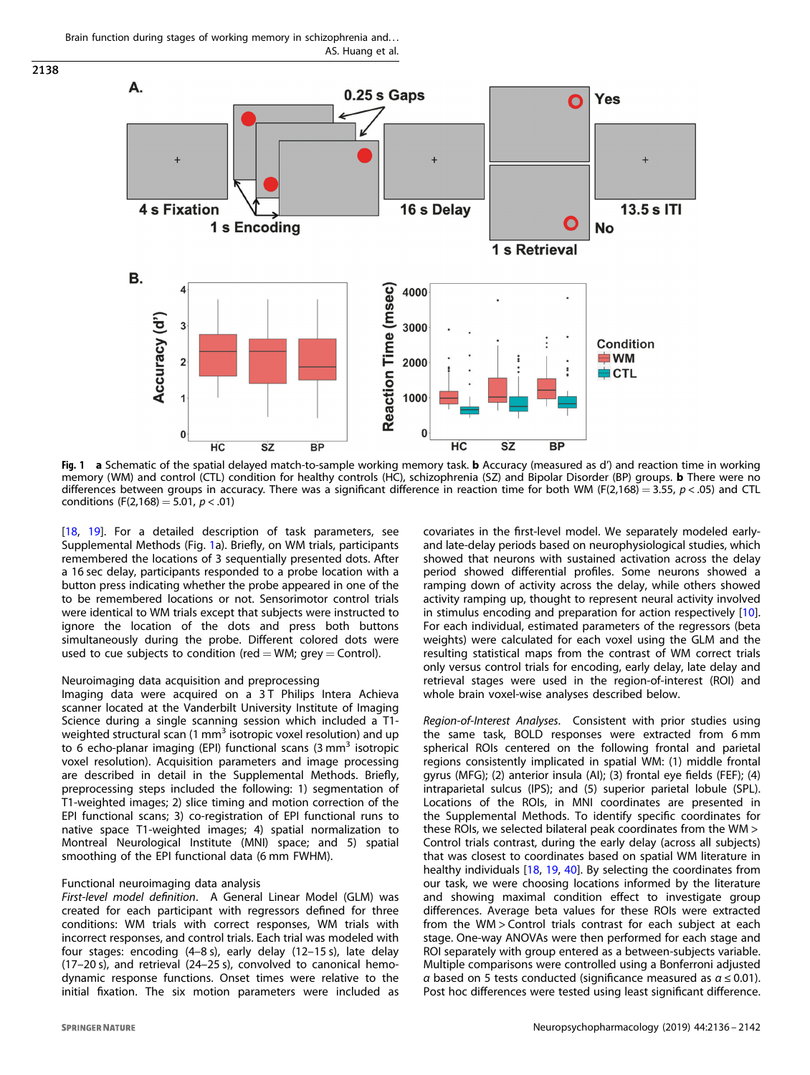Brain function during stages of working memory in schizophrenia and. . . AS. Huang et al.

<span id="page-2-0"></span>2138



Fig. 1 a Schematic of the spatial delayed match-to-sample working memory task. b Accuracy (measured as d') and reaction time in working memory (WM) and control (CTL) condition for healthy controls (HC), schizophrenia (SZ) and Bipolar Disorder (BP) groups. **b** There were no differences between groups in accuracy. There was a significant difference in reaction time for both WM (F(2,168) = 3.55,  $p < .05$ ) and CTL conditions (F(2,168) = 5.01,  $p < .01$ )

[[18,](#page-6-0) [19\]](#page-6-0). For a detailed description of task parameters, see Supplemental Methods (Fig. 1a). Briefly, on WM trials, participants remembered the locations of 3 sequentially presented dots. After a 16 sec delay, participants responded to a probe location with a button press indicating whether the probe appeared in one of the to be remembered locations or not. Sensorimotor control trials were identical to WM trials except that subjects were instructed to ignore the location of the dots and press both buttons simultaneously during the probe. Different colored dots were used to cue subjects to condition (red  $=$  WM; grey  $=$  Control).

# Neuroimaging data acquisition and preprocessing

Imaging data were acquired on a 3T Philips Intera Achieva scanner located at the Vanderbilt University Institute of Imaging Science during a single scanning session which included a T1 weighted structural scan (1  $mm<sup>3</sup>$  isotropic voxel resolution) and up to 6 echo-planar imaging (EPI) functional scans (3 mm<sup>3</sup> isotropic voxel resolution). Acquisition parameters and image processing are described in detail in the Supplemental Methods. Briefly, preprocessing steps included the following: 1) segmentation of T1-weighted images; 2) slice timing and motion correction of the EPI functional scans; 3) co-registration of EPI functional runs to native space T1-weighted images; 4) spatial normalization to Montreal Neurological Institute (MNI) space; and 5) spatial smoothing of the EPI functional data (6 mm FWHM).

# Functional neuroimaging data analysis

First-level model definition. A General Linear Model (GLM) was created for each participant with regressors defined for three conditions: WM trials with correct responses, WM trials with incorrect responses, and control trials. Each trial was modeled with four stages: encoding (4–8 s), early delay (12–15 s), late delay (17–20 s), and retrieval (24–25 s), convolved to canonical hemodynamic response functions. Onset times were relative to the initial fixation. The six motion parameters were included as covariates in the first-level model. We separately modeled earlyand late-delay periods based on neurophysiological studies, which showed that neurons with sustained activation across the delay period showed differential profiles. Some neurons showed a ramping down of activity across the delay, while others showed activity ramping up, thought to represent neural activity involved in stimulus encoding and preparation for action respectively [[10](#page-6-0)]. For each individual, estimated parameters of the regressors (beta weights) were calculated for each voxel using the GLM and the resulting statistical maps from the contrast of WM correct trials only versus control trials for encoding, early delay, late delay and retrieval stages were used in the region-of-interest (ROI) and whole brain voxel-wise analyses described below.

Region-of-Interest Analyses. Consistent with prior studies using the same task, BOLD responses were extracted from 6 mm spherical ROIs centered on the following frontal and parietal regions consistently implicated in spatial WM: (1) middle frontal gyrus (MFG); (2) anterior insula (AI); (3) frontal eye fields (FEF); (4) intraparietal sulcus (IPS); and (5) superior parietal lobule (SPL). Locations of the ROIs, in MNI coordinates are presented in the Supplemental Methods. To identify specific coordinates for these ROIs, we selected bilateral peak coordinates from the WM > Control trials contrast, during the early delay (across all subjects) that was closest to coordinates based on spatial WM literature in healthy individuals [[18,](#page-6-0) [19,](#page-6-0) [40](#page-6-0)]. By selecting the coordinates from our task, we were choosing locations informed by the literature and showing maximal condition effect to investigate group differences. Average beta values for these ROIs were extracted from the WM > Control trials contrast for each subject at each stage. One-way ANOVAs were then performed for each stage and ROI separately with group entered as a between-subjects variable. Multiple comparisons were controlled using a Bonferroni adjusted α based on 5 tests conducted (significance measured as α ≤ 0.01). Post hoc differences were tested using least significant difference.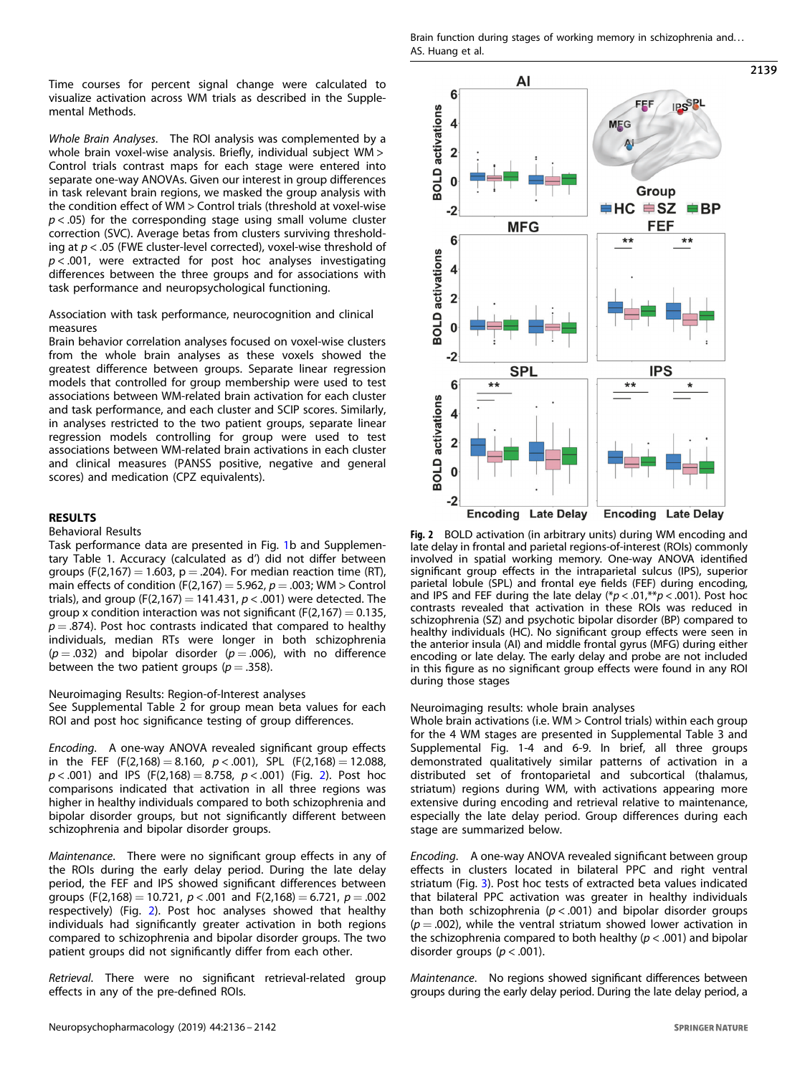Time courses for percent signal change were calculated to visualize activation across WM trials as described in the Supplemental Methods.

Whole Brain Analyses. The ROI analysis was complemented by a whole brain voxel-wise analysis. Briefly, individual subject WM > Control trials contrast maps for each stage were entered into separate one-way ANOVAs. Given our interest in group differences in task relevant brain regions, we masked the group analysis with the condition effect of WM > Control trials (threshold at voxel-wise  $p < .05$ ) for the corresponding stage using small volume cluster correction (SVC). Average betas from clusters surviving thresholding at p < .05 (FWE cluster-level corrected), voxel-wise threshold of  $p < .001$ , were extracted for post hoc analyses investigating differences between the three groups and for associations with task performance and neuropsychological functioning.

# Association with task performance, neurocognition and clinical measures

Brain behavior correlation analyses focused on voxel-wise clusters from the whole brain analyses as these voxels showed the greatest difference between groups. Separate linear regression models that controlled for group membership were used to test associations between WM-related brain activation for each cluster and task performance, and each cluster and SCIP scores. Similarly, in analyses restricted to the two patient groups, separate linear regression models controlling for group were used to test associations between WM-related brain activations in each cluster and clinical measures (PANSS positive, negative and general scores) and medication (CPZ equivalents).

# RESULTS

#### Behavioral Results

Task performance data are presented in Fig. [1b](#page-2-0) and Supplementary Table 1. Accuracy (calculated as d') did not differ between groups (F(2,167) = 1.603,  $p = .204$ ). For median reaction time (RT), main effects of condition (F(2,167) = 5.962,  $p = .003$ ; WM > Control trials), and group (F(2,167) = 141.431,  $p < .001$ ) were detected. The group x condition interaction was not significant ( $F(2,167) = 0.135$ ,  $p = .874$ ). Post hoc contrasts indicated that compared to healthy individuals, median RTs were longer in both schizophrenia  $(p=.032)$  and bipolar disorder  $(p=.006)$ , with no difference between the two patient groups ( $p = .358$ ).

# Neuroimaging Results: Region-of-Interest analyses

See Supplemental Table 2 for group mean beta values for each ROI and post hoc significance testing of group differences.

Encoding. A one-way ANOVA revealed significant group effects in the FEF  $(F(2,168) = 8.160, p < .001)$ , SPL  $(F(2,168) = 12.088,$  $p < .001$ ) and IPS (F(2,168) = 8.758,  $p < .001$ ) (Fig. 2). Post hoc comparisons indicated that activation in all three regions was higher in healthy individuals compared to both schizophrenia and bipolar disorder groups, but not significantly different between schizophrenia and bipolar disorder groups.

Maintenance. There were no significant group effects in any of the ROIs during the early delay period. During the late delay period, the FEF and IPS showed significant differences between groups (F(2,168) = 10.721,  $p < .001$  and F(2,168) = 6.721,  $p = .002$ respectively) (Fig. 2). Post hoc analyses showed that healthy individuals had significantly greater activation in both regions compared to schizophrenia and bipolar disorder groups. The two patient groups did not significantly differ from each other.

Retrieval. There were no significant retrieval-related group effects in any of the pre-defined ROIs.

Brain function during stages of working memory in schizophrenia and. . . AS. Huang et al.

2139



Fig. 2 BOLD activation (in arbitrary units) during WM encoding and late delay in frontal and parietal regions-of-interest (ROIs) commonly involved in spatial working memory. One-way ANOVA identified significant group effects in the intraparietal sulcus (IPS), superior parietal lobule (SPL) and frontal eye fields (FEF) during encoding, and IPS and FEF during the late delay ( $p < .01$ ,  $p < .001$ ). Post hoc contrasts revealed that activation in these ROIs was reduced in schizophrenia (SZ) and psychotic bipolar disorder (BP) compared to healthy individuals (HC). No significant group effects were seen in the anterior insula (AI) and middle frontal gyrus (MFG) during either encoding or late delay. The early delay and probe are not included in this figure as no significant group effects were found in any ROI during those stages

# Neuroimaging results: whole brain analyses

Whole brain activations (i.e. WM > Control trials) within each group for the 4 WM stages are presented in Supplemental Table 3 and Supplemental Fig. 1-4 and 6-9. In brief, all three groups demonstrated qualitatively similar patterns of activation in a distributed set of frontoparietal and subcortical (thalamus, striatum) regions during WM, with activations appearing more extensive during encoding and retrieval relative to maintenance, especially the late delay period. Group differences during each stage are summarized below.

Encoding. A one-way ANOVA revealed significant between group effects in clusters located in bilateral PPC and right ventral striatum (Fig. [3\)](#page-4-0). Post hoc tests of extracted beta values indicated that bilateral PPC activation was greater in healthy individuals than both schizophrenia ( $p < .001$ ) and bipolar disorder groups  $(p=.002)$ , while the ventral striatum showed lower activation in the schizophrenia compared to both healthy ( $p < .001$ ) and bipolar disorder groups ( $p < .001$ ).

Maintenance. No regions showed significant differences between groups during the early delay period. During the late delay period, a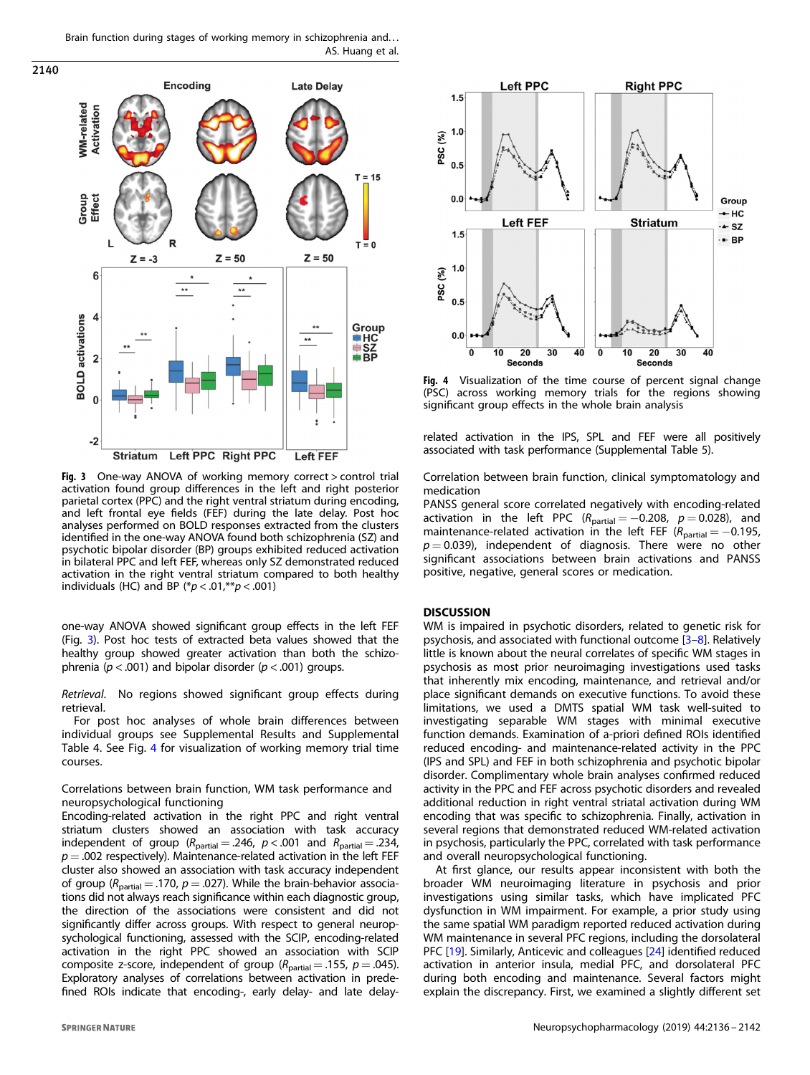Brain function during stages of working memory in schizophrenia and. . . AS. Huang et al.

<span id="page-4-0"></span>2140



Fig. 3 One-way ANOVA of working memory correct > control trial activation found group differences in the left and right posterior parietal cortex (PPC) and the right ventral striatum during encoding, and left frontal eye fields (FEF) during the late delay. Post hoc analyses performed on BOLD responses extracted from the clusters identified in the one-way ANOVA found both schizophrenia (SZ) and psychotic bipolar disorder (BP) groups exhibited reduced activation in bilateral PPC and left FEF, whereas only SZ demonstrated reduced activation in the right ventral striatum compared to both healthy individuals (HC) and BP ( $p < .01, **p < .001$ )

one-way ANOVA showed significant group effects in the left FEF (Fig. 3). Post hoc tests of extracted beta values showed that the healthy group showed greater activation than both the schizophrenia ( $p < .001$ ) and bipolar disorder ( $p < .001$ ) groups.

Retrieval. No regions showed significant group effects during retrieval.

For post hoc analyses of whole brain differences between individual groups see Supplemental Results and Supplemental Table 4. See Fig. 4 for visualization of working memory trial time courses.

Correlations between brain function, WM task performance and neuropsychological functioning

Encoding-related activation in the right PPC and right ventral striatum clusters showed an association with task accuracy independent of group ( $R_{\text{partial}} = .246$ ,  $p < .001$  and  $R_{\text{partial}} = .234$ ,  $p = 0.002$  respectively). Maintenance-related activation in the left FEF cluster also showed an association with task accuracy independent of group ( $R_{\text{partial}} = .170$ ,  $p = .027$ ). While the brain-behavior associations did not always reach significance within each diagnostic group, the direction of the associations were consistent and did not significantly differ across groups. With respect to general neuropsychological functioning, assessed with the SCIP, encoding-related activation in the right PPC showed an association with SCIP composite z-score, independent of group ( $R_{\text{partial}} = .155$ ,  $p = .045$ ). Exploratory analyses of correlations between activation in predefined ROIs indicate that encoding-, early delay- and late delay-



Fig. 4 Visualization of the time course of percent signal change (PSC) across working memory trials for the regions showing significant group effects in the whole brain analysis

related activation in the IPS, SPL and FEF were all positively associated with task performance (Supplemental Table 5).

Correlation between brain function, clinical symptomatology and medication

PANSS general score correlated negatively with encoding-related activation in the left PPC ( $R_{\text{partial}} = -0.208$ ,  $p = 0.028$ ), and maintenance-related activation in the left FEF ( $R_{\text{partial}} = -0.195$ ,  $p = 0.039$ ), independent of diagnosis. There were no other significant associations between brain activations and PANSS positive, negative, general scores or medication.

# **DISCUSSION**

WM is impaired in psychotic disorders, related to genetic risk for psychosis, and associated with functional outcome  $[3-8]$  $[3-8]$  $[3-8]$ . Relatively little is known about the neural correlates of specific WM stages in psychosis as most prior neuroimaging investigations used tasks that inherently mix encoding, maintenance, and retrieval and/or place significant demands on executive functions. To avoid these limitations, we used a DMTS spatial WM task well-suited to investigating separable WM stages with minimal executive function demands. Examination of a-priori defined ROIs identified reduced encoding- and maintenance-related activity in the PPC (IPS and SPL) and FEF in both schizophrenia and psychotic bipolar disorder. Complimentary whole brain analyses confirmed reduced activity in the PPC and FEF across psychotic disorders and revealed additional reduction in right ventral striatal activation during WM encoding that was specific to schizophrenia. Finally, activation in several regions that demonstrated reduced WM-related activation in psychosis, particularly the PPC, correlated with task performance and overall neuropsychological functioning.

At first glance, our results appear inconsistent with both the broader WM neuroimaging literature in psychosis and prior investigations using similar tasks, which have implicated PFC dysfunction in WM impairment. For example, a prior study using the same spatial WM paradigm reported reduced activation during WM maintenance in several PFC regions, including the dorsolateral PFC [\[19](#page-6-0)]. Similarly, Anticevic and colleagues [\[24](#page-6-0)] identified reduced activation in anterior insula, medial PFC, and dorsolateral PFC during both encoding and maintenance. Several factors might explain the discrepancy. First, we examined a slightly different set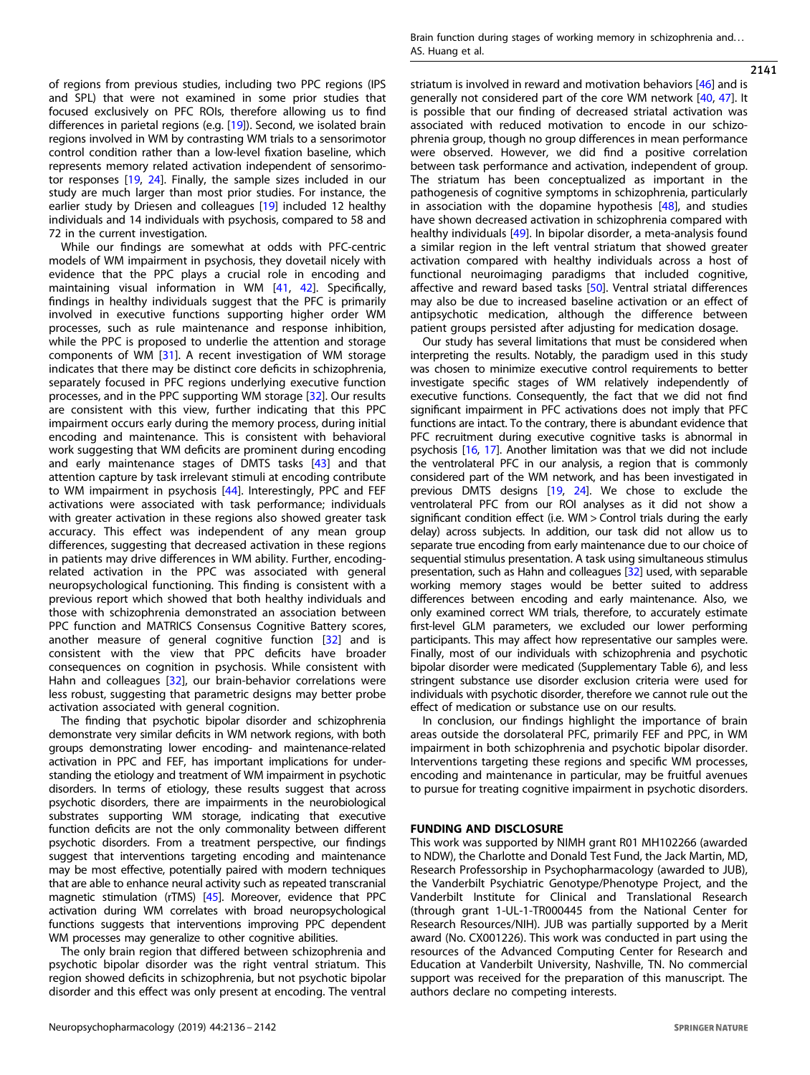of regions from previous studies, including two PPC regions (IPS and SPL) that were not examined in some prior studies that focused exclusively on PFC ROIs, therefore allowing us to find differences in parietal regions (e.g. [[19\]](#page-6-0)). Second, we isolated brain regions involved in WM by contrasting WM trials to a sensorimotor control condition rather than a low-level fixation baseline, which represents memory related activation independent of sensorimotor responses [\[19](#page-6-0), [24\]](#page-6-0). Finally, the sample sizes included in our study are much larger than most prior studies. For instance, the earlier study by Driesen and colleagues [\[19](#page-6-0)] included 12 healthy individuals and 14 individuals with psychosis, compared to 58 and 72 in the current investigation.

While our findings are somewhat at odds with PFC-centric models of WM impairment in psychosis, they dovetail nicely with evidence that the PPC plays a crucial role in encoding and maintaining visual information in WM [\[41](#page-6-0), [42\]](#page-6-0). Specifically, findings in healthy individuals suggest that the PFC is primarily involved in executive functions supporting higher order WM processes, such as rule maintenance and response inhibition, while the PPC is proposed to underlie the attention and storage components of WM [\[31\]](#page-6-0). A recent investigation of WM storage indicates that there may be distinct core deficits in schizophrenia, separately focused in PFC regions underlying executive function processes, and in the PPC supporting WM storage [[32\]](#page-6-0). Our results are consistent with this view, further indicating that this PPC impairment occurs early during the memory process, during initial encoding and maintenance. This is consistent with behavioral work suggesting that WM deficits are prominent during encoding and early maintenance stages of DMTS tasks [\[43\]](#page-6-0) and that attention capture by task irrelevant stimuli at encoding contribute to WM impairment in psychosis [[44\]](#page-6-0). Interestingly, PPC and FEF activations were associated with task performance; individuals with greater activation in these regions also showed greater task accuracy. This effect was independent of any mean group differences, suggesting that decreased activation in these regions in patients may drive differences in WM ability. Further, encodingrelated activation in the PPC was associated with general neuropsychological functioning. This finding is consistent with a previous report which showed that both healthy individuals and those with schizophrenia demonstrated an association between PPC function and MATRICS Consensus Cognitive Battery scores, another measure of general cognitive function [[32\]](#page-6-0) and is consistent with the view that PPC deficits have broader consequences on cognition in psychosis. While consistent with Hahn and colleagues [\[32\]](#page-6-0), our brain-behavior correlations were less robust, suggesting that parametric designs may better probe activation associated with general cognition.

The finding that psychotic bipolar disorder and schizophrenia demonstrate very similar deficits in WM network regions, with both groups demonstrating lower encoding- and maintenance-related activation in PPC and FEF, has important implications for understanding the etiology and treatment of WM impairment in psychotic disorders. In terms of etiology, these results suggest that across psychotic disorders, there are impairments in the neurobiological substrates supporting WM storage, indicating that executive function deficits are not the only commonality between different psychotic disorders. From a treatment perspective, our findings suggest that interventions targeting encoding and maintenance may be most effective, potentially paired with modern techniques that are able to enhance neural activity such as repeated transcranial magnetic stimulation (rTMS) [[45\]](#page-6-0). Moreover, evidence that PPC activation during WM correlates with broad neuropsychological functions suggests that interventions improving PPC dependent WM processes may generalize to other cognitive abilities.

The only brain region that differed between schizophrenia and psychotic bipolar disorder was the right ventral striatum. This region showed deficits in schizophrenia, but not psychotic bipolar disorder and this effect was only present at encoding. The ventral 2141

striatum is involved in reward and motivation behaviors [\[46](#page-6-0)] and is generally not considered part of the core WM network [[40](#page-6-0), [47\]](#page-6-0). It is possible that our finding of decreased striatal activation was associated with reduced motivation to encode in our schizophrenia group, though no group differences in mean performance were observed. However, we did find a positive correlation between task performance and activation, independent of group. The striatum has been conceptualized as important in the pathogenesis of cognitive symptoms in schizophrenia, particularly in association with the dopamine hypothesis [[48](#page-6-0)], and studies have shown decreased activation in schizophrenia compared with healthy individuals [[49\]](#page-6-0). In bipolar disorder, a meta-analysis found a similar region in the left ventral striatum that showed greater activation compared with healthy individuals across a host of functional neuroimaging paradigms that included cognitive, affective and reward based tasks [[50](#page-6-0)]. Ventral striatal differences may also be due to increased baseline activation or an effect of antipsychotic medication, although the difference between patient groups persisted after adjusting for medication dosage.

Our study has several limitations that must be considered when interpreting the results. Notably, the paradigm used in this study was chosen to minimize executive control requirements to better investigate specific stages of WM relatively independently of executive functions. Consequently, the fact that we did not find significant impairment in PFC activations does not imply that PFC functions are intact. To the contrary, there is abundant evidence that PFC recruitment during executive cognitive tasks is abnormal in psychosis [\[16](#page-6-0), [17](#page-6-0)]. Another limitation was that we did not include the ventrolateral PFC in our analysis, a region that is commonly considered part of the WM network, and has been investigated in previous DMTS designs [[19,](#page-6-0) [24\]](#page-6-0). We chose to exclude the ventrolateral PFC from our ROI analyses as it did not show a significant condition effect (i.e. WM > Control trials during the early delay) across subjects. In addition, our task did not allow us to separate true encoding from early maintenance due to our choice of sequential stimulus presentation. A task using simultaneous stimulus presentation, such as Hahn and colleagues [[32\]](#page-6-0) used, with separable working memory stages would be better suited to address differences between encoding and early maintenance. Also, we only examined correct WM trials, therefore, to accurately estimate first-level GLM parameters, we excluded our lower performing participants. This may affect how representative our samples were. Finally, most of our individuals with schizophrenia and psychotic bipolar disorder were medicated (Supplementary Table 6), and less stringent substance use disorder exclusion criteria were used for individuals with psychotic disorder, therefore we cannot rule out the effect of medication or substance use on our results.

In conclusion, our findings highlight the importance of brain areas outside the dorsolateral PFC, primarily FEF and PPC, in WM impairment in both schizophrenia and psychotic bipolar disorder. Interventions targeting these regions and specific WM processes, encoding and maintenance in particular, may be fruitful avenues to pursue for treating cognitive impairment in psychotic disorders.

#### FUNDING AND DISCLOSURE

This work was supported by NIMH grant R01 MH102266 (awarded to NDW), the Charlotte and Donald Test Fund, the Jack Martin, MD, Research Professorship in Psychopharmacology (awarded to JUB), the Vanderbilt Psychiatric Genotype/Phenotype Project, and the Vanderbilt Institute for Clinical and Translational Research (through grant 1-UL-1-TR000445 from the National Center for Research Resources/NIH). JUB was partially supported by a Merit award (No. CX001226). This work was conducted in part using the resources of the Advanced Computing Center for Research and Education at Vanderbilt University, Nashville, TN. No commercial support was received for the preparation of this manuscript. The authors declare no competing interests.